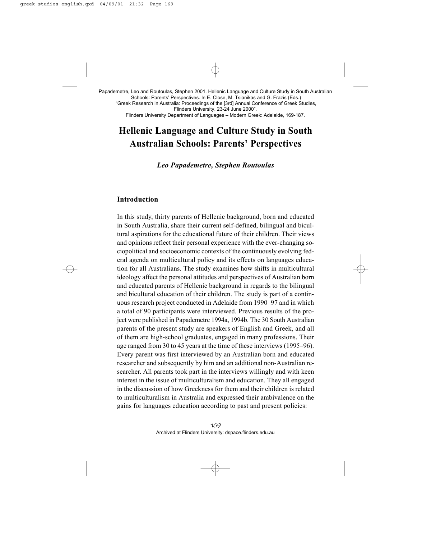Schools: Parents' Perspectives. In E. Close, M. Tsianikas and G. Frazis (Eds.) "Greek Research in Australia: Proceedings of the [3rd] Annual Conference of Greek Studies, Flinders University, 23-24 June 2000". Flinders University Department of Languages – Modern Greek: Adelaide, 169-187.

# **Hellenic Language and Culture Study in South Australian Schools: Parents' Perspectives**

*Leo Papademetre, Stephen Routoulas*

## **Introduction**

In this study, thirty parents of Hellenic background, born and educated in South Australia, share their current self-defined, bilingual and bicultural aspirations for the educational future of their children. Their views and opinions reflect their personal experience with the ever-changing sociopolitical and socioeconomic contexts of the continuously evolving federal agenda on multicultural policy and its effects on languages education for all Australians. The study examines how shifts in multicultural ideology affect the personal attitudes and perspectives of Australian born and educated parents of Hellenic background in regards to the bilingual and bicultural education of their children. The study is part of a continuous research project conducted in Adelaide from 1990–97 and in which a total of 90 participants were interviewed. Previous results of the project were published in Papademetre 1994a, 1994b. The 30 South Australian parents of the present study are speakers of English and Greek, and all of them are high-school graduates, engaged in many professions. Their age ranged from 30 to 45 years at the time of these interviews (1995–96). Every parent was first interviewed by an Australian born and educated researcher and subsequently by him and an additional non-Australian researcher. All parents took part in the interviews willingly and with keen interest in the issue of multiculturalism and education. They all engaged in the discussion of how Greekness for them and their children is related to multiculturalism in Australia and expressed their ambivalence on the gains for languages education according to past and present policies: Papadomete. Los and Routoulas, Stephen at Columbus and Columbus and Columbus and Columbus and Columbus Crossection Australian Chenetes of Cross Stephen Columbus Cases.<br>
Finders University Department of Languages – Indeen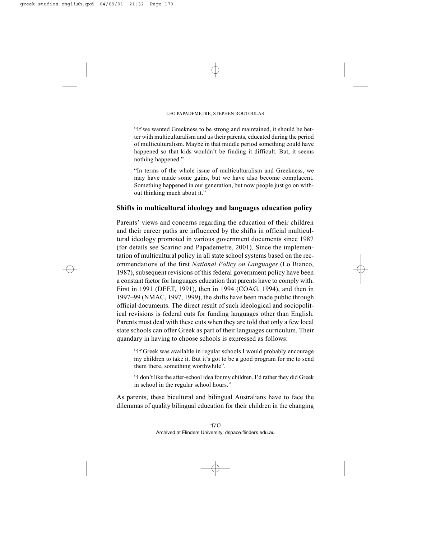"If we wanted Greekness to be strong and maintained, it should be better with multiculturalism and us their parents, educated during the period of multiculturalism. Maybe in that middle period something could have happened so that kids wouldn't be finding it difficult. But, it seems nothing happened."

"In terms of the whole issue of multiculturalism and Greekness, we may have made some gains, but we have also become complacent. Something happened in our generation, but now people just go on without thinking much about it."

## **Shifts in multicultural ideology and languages education policy**

Parents' views and concerns regarding the education of their children and their career paths are influenced by the shifts in official multicultural ideology promoted in various government documents since 1987 (for details see Scarino and Papademetre, 2001). Since the implementation of multicultural policy in all state school systems based on the recommendations of the first *National Policy on Languages* (Lo Bianco, 1987), subsequent revisions of this federal government policy have been a constant factor for languages education that parents have to comply with. First in 1991 (DEET, 1991), then in 1994 (COAG, 1994), and then in 1997–99 (NMAC, 1997, 1999), the shifts have been made public through official documents. The direct result of such ideological and sociopolitical revisions is federal cuts for funding languages other than English. Parents must deal with these cuts when they are told that only a few local state schools can offer Greek as part of their languages curriculum. Their quandary in having to choose schools is expressed as follows:

"If Greek was available in regular schools I would probably encourage my children to take it. But it's got to be a good program for me to send them there, something worthwhile".

"I don't like the after-school idea for my children. I'd rather they did Greek in school in the regular school hours."

As parents, these bicultural and bilingual Australians have to face the dilemmas of quality bilingual education for their children in the changing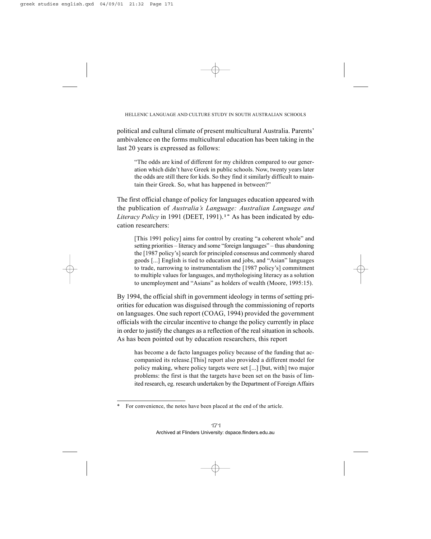political and cultural climate of present multicultural Australia. Parents' ambivalence on the forms multicultural education has been taking in the last 20 years is expressed as follows:

"The odds are kind of different for my children compared to our generation which didn't have Greek in public schools. Now, twenty years later the odds are still there for kids. So they find it similarly difficult to maintain their Greek. So, what has happened in between?"

The first official change of policy for languages education appeared with the publication of *Australia's Language: Australian Language and Literacy Policy* in 1991 (DEET, 1991).1\* As has been indicated by education researchers:

[This 1991 policy] aims for control by creating "a coherent whole" and setting priorities – literacy and some "foreign languages" – thus abandoning the [1987 policy's] search for principled consensus and commonly shared goods [...] English is tied to education and jobs, and "Asian" languages to trade, narrowing to instrumentalism the [1987 policy's] commitment to multiple values for languages, and mythologising literacy as a solution to unemployment and "Asians" as holders of wealth (Moore, 1995:15).

By 1994, the official shift in government ideology in terms of setting priorities for education was disguised through the commissioning of reports on languages. One such report (COAG, 1994) provided the government officials with the circular incentive to change the policy currently in place in order to justify the changes as a reflection of the real situation in schools. As has been pointed out by education researchers, this report

has become a de facto languages policy because of the funding that accompanied its release.[This] report also provided a different model for policy making, where policy targets were set [...] [but, with] two major problems: the first is that the targets have been set on the basis of limited research, eg. research undertaken by the Department of Foreign Affairs

For convenience, the notes have been placed at the end of the article.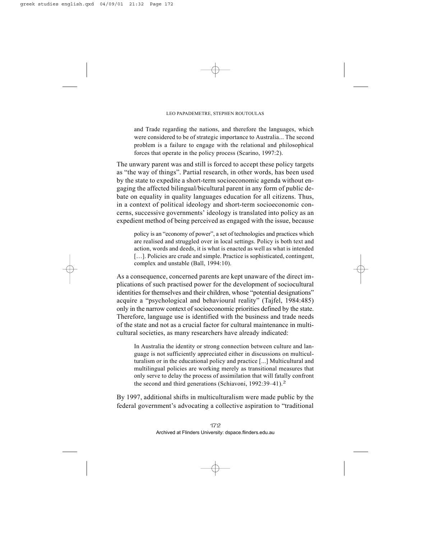and Trade regarding the nations, and therefore the languages, which were considered to be of strategic importance to Australia... The second problem is a failure to engage with the relational and philosophical forces that operate in the policy process (Scarino, 1997:2).

The unwary parent was and still is forced to accept these policy targets as "the way of things". Partial research, in other words, has been used by the state to expedite a short-term socioeconomic agenda without engaging the affected bilingual/bicultural parent in any form of public debate on equality in quality languages education for all citizens. Thus, in a context of political ideology and short-term socioeconomic concerns, successive governments' ideology is translated into policy as an expedient method of being perceived as engaged with the issue, because

policy is an "economy of power", a set of technologies and practices which are realised and struggled over in local settings. Policy is both text and action, words and deeds, it is what is enacted as well as what is intended [...]. Policies are crude and simple. Practice is sophisticated, contingent, complex and unstable (Ball, 1994:10).

As a consequence, concerned parents are kept unaware of the direct implications of such practised power for the development of sociocultural identities for themselves and their children, whose "potential designations" acquire a "psychological and behavioural reality" (Tajfel, 1984:485) only in the narrow context of socioeconomic priorities defined by the state. Therefore, language use is identified with the business and trade needs of the state and not as a crucial factor for cultural maintenance in multicultural societies, as many researchers have already indicated:

In Australia the identity or strong connection between culture and language is not sufficiently appreciated either in discussions on multiculturalism or in the educational policy and practice [...] Multicultural and multilingual policies are working merely as transitional measures that only serve to delay the process of assimilation that will fatally confront the second and third generations (Schiavoni, 1992:39–41).2

By 1997, additional shifts in multiculturalism were made public by the federal government's advocating a collective aspiration to "traditional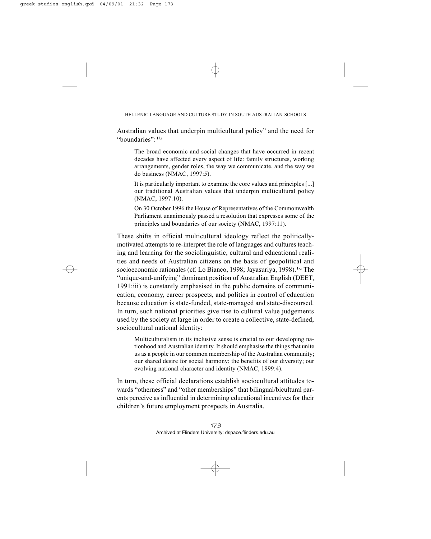Australian values that underpin multicultural policy" and the need for "boundaries":1b

The broad economic and social changes that have occurred in recent decades have affected every aspect of life: family structures, working arrangements, gender roles, the way we communicate, and the way we do business (NMAC, 1997:5).

It is particularly important to examine the core values and principles [...] our traditional Australian values that underpin multicultural policy (NMAC, 1997:10).

On 30 October 1996 the House of Representatives of the Commonwealth Parliament unanimously passed a resolution that expresses some of the principles and boundaries of our society (NMAC, 1997:11).

These shifts in official multicultural ideology reflect the politicallymotivated attempts to re-interpret the role of languages and cultures teaching and learning for the sociolinguistic, cultural and educational realities and needs of Australian citizens on the basis of geopolitical and socioeconomic rationales (cf. Lo Bianco, 1998; Jayasuriya, 1998).<sup>1c</sup> The "unique-and-unifying" dominant position of Australian English (DEET, 1991:iii) is constantly emphasised in the public domains of communication, economy, career prospects, and politics in control of education because education is state-funded, state-managed and state-discoursed. In turn, such national priorities give rise to cultural value judgements used by the society at large in order to create a collective, state-defined, sociocultural national identity:

Multiculturalism in its inclusive sense is crucial to our developing nationhood and Australian identity. It should emphasise the things that unite us as a people in our common membership of the Australian community; our shared desire for social harmony; the benefits of our diversity; our evolving national character and identity (NMAC, 1999:4).

In turn, these official declarations establish sociocultural attitudes towards "otherness" and "other memberships" that bilingual/bicultural parents perceive as influential in determining educational incentives for their children's future employment prospects in Australia.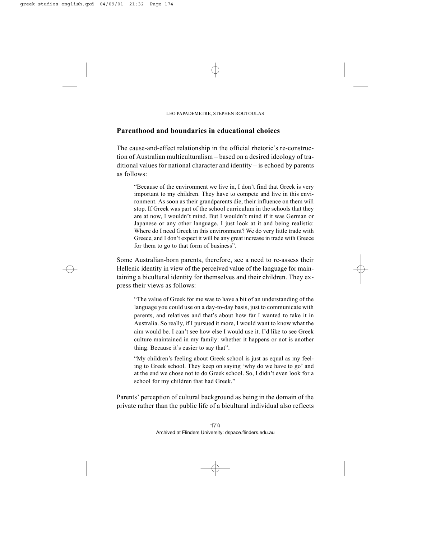# **Parenthood and boundaries in educational choices**

The cause-and-effect relationship in the official rhetoric's re-construction of Australian multiculturalism – based on a desired ideology of traditional values for national character and identity – is echoed by parents as follows:

"Because of the environment we live in, I don't find that Greek is very important to my children. They have to compete and live in this environment. As soon as their grandparents die, their influence on them will stop. If Greek was part of the school curriculum in the schools that they are at now, I wouldn't mind. But I wouldn't mind if it was German or Japanese or any other language. I just look at it and being realistic: Where do I need Greek in this environment? We do very little trade with Greece, and I don't expect it will be any great increase in trade with Greece for them to go to that form of business".

Some Australian-born parents, therefore, see a need to re-assess their Hellenic identity in view of the perceived value of the language for maintaining a bicultural identity for themselves and their children. They express their views as follows:

"The value of Greek for me was to have a bit of an understanding of the language you could use on a day-to-day basis, just to communicate with parents, and relatives and that's about how far I wanted to take it in Australia. So really, if I pursued it more, I would want to know what the aim would be. I can't see how else I would use it. I'd like to see Greek culture maintained in my family: whether it happens or not is another thing. Because it's easier to say that".

"My children's feeling about Greek school is just as equal as my feeling to Greek school. They keep on saying 'why do we have to go' and at the end we chose not to do Greek school. So, I didn't even look for a school for my children that had Greek."

Parents' perception of cultural background as being in the domain of the private rather than the public life of a bicultural individual also reflects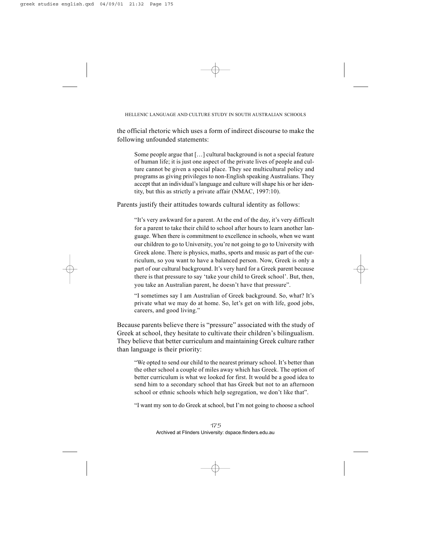the official rhetoric which uses a form of indirect discourse to make the following unfounded statements:

Some people argue that […] cultural background is not a special feature of human life; it is just one aspect of the private lives of people and culture cannot be given a special place. They see multicultural policy and programs as giving privileges to non-English speaking Australians. They accept that an individual's language and culture will shape his or her identity, but this as strictly a private affair (NMAC, 1997:10).

Parents justify their attitudes towards cultural identity as follows:

"It's very awkward for a parent. At the end of the day, it's very difficult for a parent to take their child to school after hours to learn another language. When there is commitment to excellence in schools, when we want our children to go to University, you're not going to go to University with Greek alone. There is physics, maths, sports and music as part of the curriculum, so you want to have a balanced person. Now, Greek is only a part of our cultural background. It's very hard for a Greek parent because there is that pressure to say 'take your child to Greek school'. But, then, you take an Australian parent, he doesn't have that pressure".

"I sometimes say I am Australian of Greek background. So, what? It's private what we may do at home. So, let's get on with life, good jobs, careers, and good living."

Because parents believe there is "pressure" associated with the study of Greek at school, they hesitate to cultivate their children's bilingualism. They believe that better curriculum and maintaining Greek culture rather than language is their priority:

"We opted to send our child to the nearest primary school. It's better than the other school a couple of miles away which has Greek. The option of better curriculum is what we looked for first. It would be a good idea to send him to a secondary school that has Greek but not to an afternoon school or ethnic schools which help segregation, we don't like that".

"I want my son to do Greek at school, but I'm not going to choose a school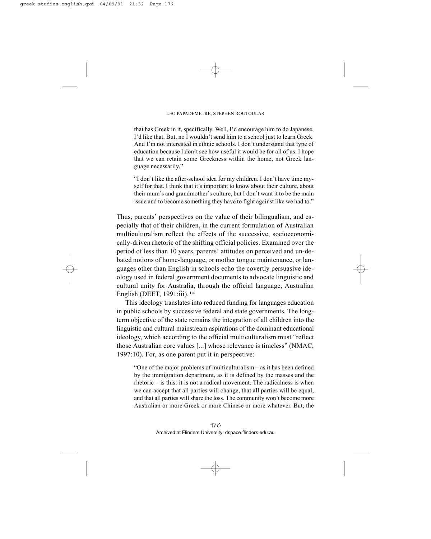that has Greek in it, specifically. Well, I'd encourage him to do Japanese, I'd like that. But, no I wouldn't send him to a school just to learn Greek. And I'm not interested in ethnic schools. I don't understand that type of education because I don't see how useful it would be for all of us. I hope that we can retain some Greekness within the home, not Greek language necessarily."

"I don't like the after-school idea for my children. I don't have time myself for that. I think that it's important to know about their culture, about their mum's and grandmother's culture, but I don't want it to be the main issue and to become something they have to fight against like we had to."

Thus, parents' perspectives on the value of their bilingualism, and especially that of their children, in the current formulation of Australian multiculturalism reflect the effects of the successive, socioeconomically-driven rhetoric of the shifting official policies. Examined over the period of less than 10 years, parents' attitudes on perceived and un-debated notions of home-language, or mother tongue maintenance, or languages other than English in schools echo the covertly persuasive ideology used in federal government documents to advocate linguistic and cultural unity for Australia, through the official language, Australian English (DEET,  $1991$ :iii).<sup>1a</sup>

This ideology translates into reduced funding for languages education in public schools by successive federal and state governments. The longterm objective of the state remains the integration of all children into the linguistic and cultural mainstream aspirations of the dominant educational ideology, which according to the official multiculturalism must "reflect those Australian core values [...] whose relevance is timeless" (NMAC, 1997:10). For, as one parent put it in perspective:

"One of the major problems of multiculturalism – as it has been defined by the immigration department, as it is defined by the masses and the rhetoric – is this: it is not a radical movement. The radicalness is when we can accept that all parties will change, that all parties will be equal, and that all parties will share the loss. The community won't become more Australian or more Greek or more Chinese or more whatever. But, the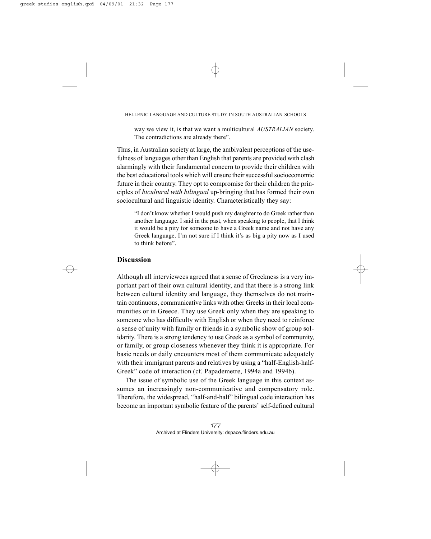way we view it, is that we want a multicultural *AUSTRALIAN* society. The contradictions are already there".

Thus, in Australian society at large, the ambivalent perceptions of the usefulness of languages other than English that parents are provided with clash alarmingly with their fundamental concern to provide their children with the best educational tools which will ensure their successful socioeconomic future in their country. They opt to compromise for their children the principles of *bicultural with bilingual* up-bringing that has formed their own sociocultural and linguistic identity. Characteristically they say:

"I don't know whether I would push my daughter to do Greek rather than another language. I said in the past, when speaking to people, that I think it would be a pity for someone to have a Greek name and not have any Greek language. I'm not sure if I think it's as big a pity now as I used to think before".

# **Discussion**

Although all interviewees agreed that a sense of Greekness is a very important part of their own cultural identity, and that there is a strong link between cultural identity and language, they themselves do not maintain continuous, communicative links with other Greeks in their local communities or in Greece. They use Greek only when they are speaking to someone who has difficulty with English or when they need to reinforce a sense of unity with family or friends in a symbolic show of group solidarity. There is a strong tendency to use Greek as a symbol of community, or family, or group closeness whenever they think it is appropriate. For basic needs or daily encounters most of them communicate adequately with their immigrant parents and relatives by using a "half-English-half-Greek" code of interaction (cf. Papademetre, 1994a and 1994b).

The issue of symbolic use of the Greek language in this context assumes an increasingly non-communicative and compensatory role. Therefore, the widespread, "half-and-half" bilingual code interaction has become an important symbolic feature of the parents' self-defined cultural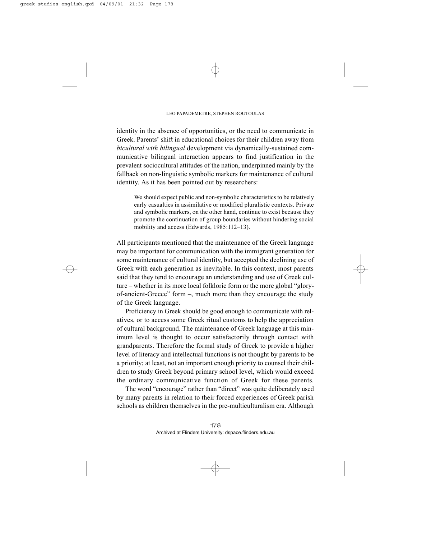identity in the absence of opportunities, or the need to communicate in Greek. Parents' shift in educational choices for their children away from *bicultural with bilingual* development via dynamically-sustained communicative bilingual interaction appears to find justification in the prevalent sociocultural attitudes of the nation, underpinned mainly by the fallback on non-linguistic symbolic markers for maintenance of cultural identity. As it has been pointed out by researchers:

We should expect public and non-symbolic characteristics to be relatively early casualties in assimilative or modified pluralistic contexts. Private and symbolic markers, on the other hand, continue to exist because they promote the continuation of group boundaries without hindering social mobility and access (Edwards, 1985:112–13).

All participants mentioned that the maintenance of the Greek language may be important for communication with the immigrant generation for some maintenance of cultural identity, but accepted the declining use of Greek with each generation as inevitable. In this context, most parents said that they tend to encourage an understanding and use of Greek culture – whether in its more local folkloric form or the more global "gloryof-ancient-Greece" form –, much more than they encourage the study of the Greek language.

Proficiency in Greek should be good enough to communicate with relatives, or to access some Greek ritual customs to help the appreciation of cultural background. The maintenance of Greek language at this minimum level is thought to occur satisfactorily through contact with grandparents. Therefore the formal study of Greek to provide a higher level of literacy and intellectual functions is not thought by parents to be a priority; at least, not an important enough priority to counsel their children to study Greek beyond primary school level, which would exceed the ordinary communicative function of Greek for these parents.

The word "encourage" rather than "direct" was quite deliberately used by many parents in relation to their forced experiences of Greek parish schools as children themselves in the pre-multiculturalism era. Although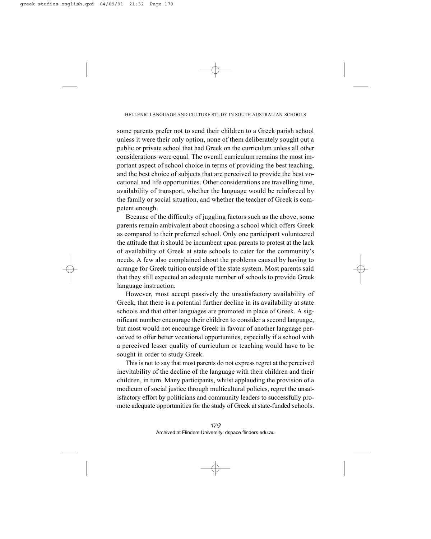some parents prefer not to send their children to a Greek parish school unless it were their only option, none of them deliberately sought out a public or private school that had Greek on the curriculum unless all other considerations were equal. The overall curriculum remains the most important aspect of school choice in terms of providing the best teaching, and the best choice of subjects that are perceived to provide the best vocational and life opportunities. Other considerations are travelling time, availability of transport, whether the language would be reinforced by the family or social situation, and whether the teacher of Greek is competent enough.

Because of the difficulty of juggling factors such as the above, some parents remain ambivalent about choosing a school which offers Greek as compared to their preferred school. Only one participant volunteered the attitude that it should be incumbent upon parents to protest at the lack of availability of Greek at state schools to cater for the community's needs. A few also complained about the problems caused by having to arrange for Greek tuition outside of the state system. Most parents said that they still expected an adequate number of schools to provide Greek language instruction.

However, most accept passively the unsatisfactory availability of Greek, that there is a potential further decline in its availability at state schools and that other languages are promoted in place of Greek. A significant number encourage their children to consider a second language, but most would not encourage Greek in favour of another language perceived to offer better vocational opportunities, especially if a school with a perceived lesser quality of curriculum or teaching would have to be sought in order to study Greek.

This is not to say that most parents do not express regret at the perceived inevitability of the decline of the language with their children and their children, in turn. Many participants, whilst applauding the provision of a modicum of social justice through multicultural policies, regret the unsatisfactory effort by politicians and community leaders to successfully promote adequate opportunities for the study of Greek at state-funded schools.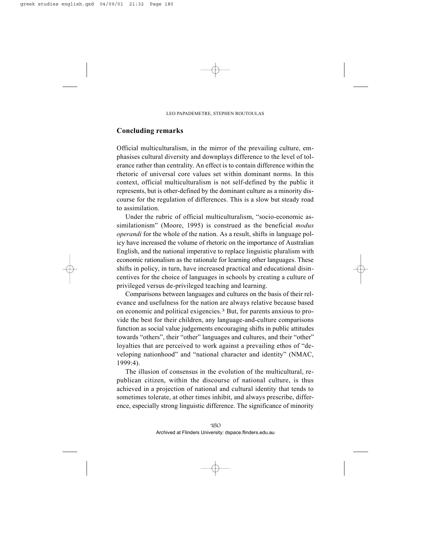# **Concluding remarks**

Official multiculturalism, in the mirror of the prevailing culture, emphasises cultural diversity and downplays difference to the level of tolerance rather than centrality. An effect is to contain difference within the rhetoric of universal core values set within dominant norms. In this context, official multiculturalism is not self-defined by the public it represents, but is other-defined by the dominant culture as a minority discourse for the regulation of differences. This is a slow but steady road to assimilation.

Under the rubric of official multiculturalism, "socio-economic assimilationism" (Moore, 1995) is construed as the beneficial *modus operandi* for the whole of the nation. As a result, shifts in language policy have increased the volume of rhetoric on the importance of Australian English, and the national imperative to replace linguistic pluralism with economic rationalism as the rationale for learning other languages. These shifts in policy, in turn, have increased practical and educational disincentives for the choice of languages in schools by creating a culture of privileged versus de-privileged teaching and learning.

Comparisons between languages and cultures on the basis of their relevance and usefulness for the nation are always relative because based on economic and political exigencies.3 But, for parents anxious to provide the best for their children, any language-and-culture comparisons function as social value judgements encouraging shifts in public attitudes towards "others", their "other" languages and cultures, and their "other" loyalties that are perceived to work against a prevailing ethos of "developing nationhood" and "national character and identity" (NMAC, 1999:4).

The illusion of consensus in the evolution of the multicultural, republican citizen, within the discourse of national culture, is thus achieved in a projection of national and cultural identity that tends to sometimes tolerate, at other times inhibit, and always prescribe, difference, especially strong linguistic difference. The significance of minority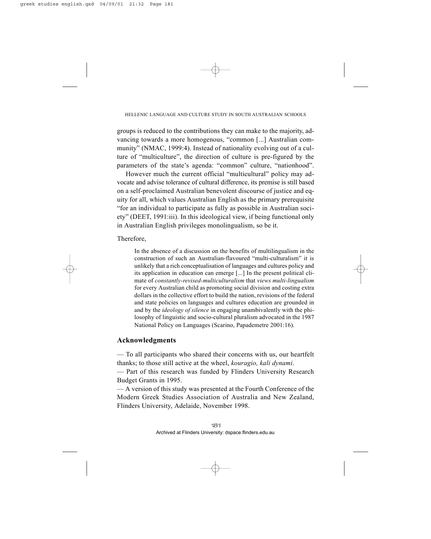groups is reduced to the contributions they can make to the majority, advancing towards a more homogenous, "common [...] Australian community" (NMAC, 1999:4). Instead of nationality evolving out of a culture of "multiculture", the direction of culture is pre-figured by the parameters of the state's agenda: "common" culture, "nationhood".

However much the current official "multicultural" policy may advocate and advise tolerance of cultural difference, its premise is still based on a self-proclaimed Australian benevolent discourse of justice and equity for all, which values Australian English as the primary prerequisite "for an individual to participate as fully as possible in Australian society" (DEET, 1991:iii). In this ideological view, if being functional only in Australian English privileges monolingualism, so be it.

Therefore,

In the absence of a discussion on the benefits of multilingualism in the construction of such an Australian-flavoured "multi-culturalism" it is unlikely that a rich conceptualisation of languages and cultures policy and its application in education can emerge [...] In the present political climate of *constantly-revised-multiculturalism* that *views multi-lingualism* for every Australian child as promoting social division and costing extra dollars in the collective effort to build the nation, revisions of the federal and state policies on languages and cultures education are grounded in and by the *ideology of silence* in engaging unambivalently with the philosophy of linguistic and socio-cultural pluralism advocated in the 1987 National Policy on Languages (Scarino, Papademetre 2001:16).

# **Acknowledgments**

— To all participants who shared their concerns with us, our heartfelt thanks; to those still active at the wheel, *kouragio, kali dynami*.

— Part of this research was funded by Flinders University Research Budget Grants in 1995.

— A version of this study was presented at the Fourth Conference of the Modern Greek Studies Association of Australia and New Zealand, Flinders University, Adelaide, November 1998.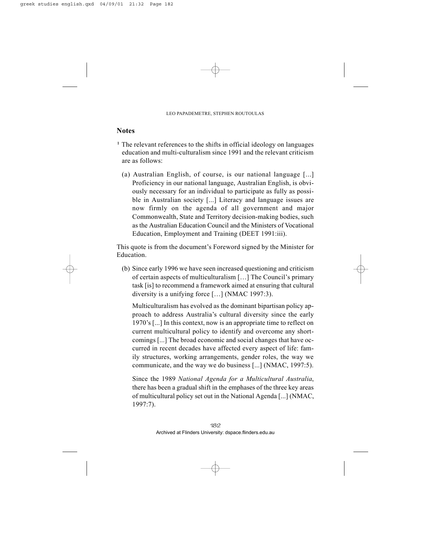# **Notes**

- 1 The relevant references to the shifts in official ideology on languages education and multi-culturalism since 1991 and the relevant criticism are as follows:
	- (a) Australian English, of course, is our national language [...] Proficiency in our national language, Australian English, is obviously necessary for an individual to participate as fully as possible in Australian society [...] Literacy and language issues are now firmly on the agenda of all government and major Commonwealth, State and Territory decision-making bodies, such as the Australian Education Council and the Ministers of Vocational Education, Employment and Training (DEET 1991:iii).

This quote is from the document's Foreword signed by the Minister for Education.

(b) Since early 1996 we have seen increased questioning and criticism of certain aspects of multiculturalism […] The Council's primary task [is] to recommend a framework aimed at ensuring that cultural diversity is a unifying force […] (NMAC 1997:3).

Multiculturalism has evolved as the dominant bipartisan policy approach to address Australia's cultural diversity since the early 1970's [...] In this context, now is an appropriate time to reflect on current multicultural policy to identify and overcome any shortcomings [...] The broad economic and social changes that have occurred in recent decades have affected every aspect of life: family structures, working arrangements, gender roles, the way we communicate, and the way we do business [...] (NMAC, 1997:5).

Since the 1989 *National Agenda for a Multicultural Australia*, there has been a gradual shift in the emphases of the three key areas of multicultural policy set out in the National Agenda [...] (NMAC, 1997:7).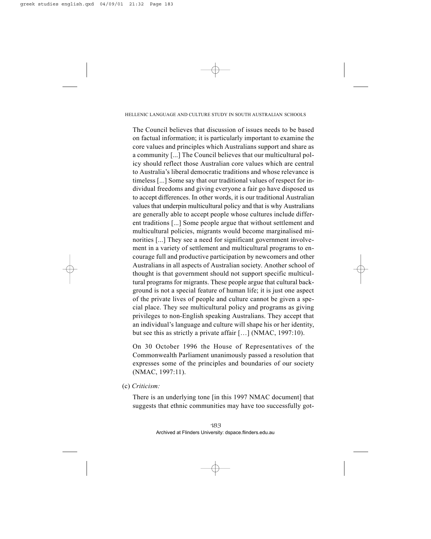The Council believes that discussion of issues needs to be based on factual information; it is particularly important to examine the core values and principles which Australians support and share as a community [...] The Council believes that our multicultural policy should reflect those Australian core values which are central to Australia's liberal democratic traditions and whose relevance is timeless [...] Some say that our traditional values of respect for individual freedoms and giving everyone a fair go have disposed us to accept differences. In other words, it is our traditional Australian values that underpin multicultural policy and that is why Australians are generally able to accept people whose cultures include different traditions [...] Some people argue that without settlement and multicultural policies, migrants would become marginalised minorities [...] They see a need for significant government involvement in a variety of settlement and multicultural programs to encourage full and productive participation by newcomers and other Australians in all aspects of Australian society. Another school of thought is that government should not support specific multicultural programs for migrants. These people argue that cultural background is not a special feature of human life; it is just one aspect of the private lives of people and culture cannot be given a special place. They see multicultural policy and programs as giving privileges to non-English speaking Australians. They accept that an individual's language and culture will shape his or her identity, but see this as strictly a private affair […] (NMAC, 1997:10).

On 30 October 1996 the House of Representatives of the Commonwealth Parliament unanimously passed a resolution that expresses some of the principles and boundaries of our society (NMAC, 1997:11).

(c) *Criticism:* 

There is an underlying tone [in this 1997 NMAC document] that suggests that ethnic communities may have too successfully got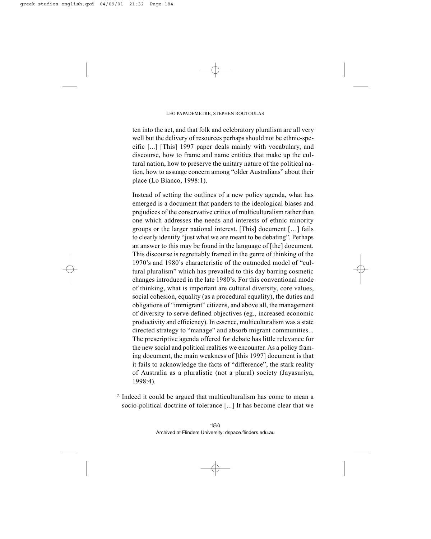ten into the act, and that folk and celebratory pluralism are all very well but the delivery of resources perhaps should not be ethnic-specific [...] [This] 1997 paper deals mainly with vocabulary, and discourse, how to frame and name entities that make up the cultural nation, how to preserve the unitary nature of the political nation, how to assuage concern among "older Australians" about their place (Lo Bianco, 1998:1).

Instead of setting the outlines of a new policy agenda, what has emerged is a document that panders to the ideological biases and prejudices of the conservative critics of multiculturalism rather than one which addresses the needs and interests of ethnic minority groups or the larger national interest. [This] document […] fails to clearly identify "just what we are meant to be debating". Perhaps an answer to this may be found in the language of [the] document. This discourse is regrettably framed in the genre of thinking of the 1970's and 1980's characteristic of the outmoded model of "cultural pluralism" which has prevailed to this day barring cosmetic changes introduced in the late 1980's. For this conventional mode of thinking, what is important are cultural diversity, core values, social cohesion, equality (as a procedural equality), the duties and obligations of "immigrant" citizens, and above all, the management of diversity to serve defined objectives (eg., increased economic productivity and efficiency). In essence, multiculturalism was a state directed strategy to "manage" and absorb migrant communities... The prescriptive agenda offered for debate has little relevance for the new social and political realities we encounter. As a policy framing document, the main weakness of [this 1997] document is that it fails to acknowledge the facts of "difference", the stark reality of Australia as a pluralistic (not a plural) society (Jayasuriya, 1998:4).

2 Indeed it could be argued that multiculturalism has come to mean a socio-political doctrine of tolerance [...] It has become clear that we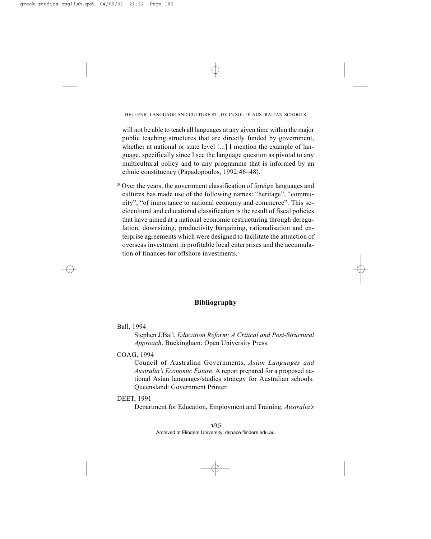will not be able to teach all languages at any given time within the major public teaching structures that are directly funded by government, whether at national or state level [...] I mention the example of language, specifically since I see the language question as pivotal to any multicultural policy and to any programme that is informed by an ethnic constituency (Papadopoulos, 1992:46–48).

3 Over the years, the government classification of foreign languages and cultures has made use of the following names: "heritage", "community", "of importance to national economy and commerce". This sociocultural and educational classification is the result of fiscal policies that have aimed at a national economic restructuring through deregulation, downsizing, productivity bargaining, rationalisation and enterprise agreements which were designed to facilitate the attraction of overseas investment in profitable local enterprises and the accumulation of finances for offshore investments.

# **Bibliography**

Ball, 1994

Stephen J.Ball, *Education Reform: A Critical and Post-Structural Approach*. Buckingham: Open University Press.

COAG, 1994

Council of Australian Governments, *Asian Languages and Australia's Economic Future*. A report prepared for a proposed national Asian languages/studies strategy for Australian schools. Queensland: Government Printer.

# DEET, 1991

Department for Education, Employment and Training, *Australia's*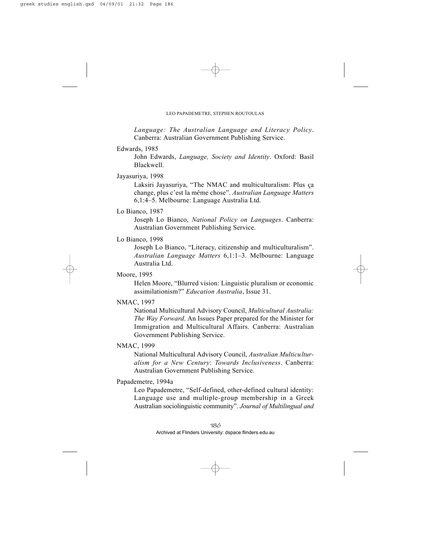*Language: The Australian Language and Literacy Policy*. Canberra: Australian Government Publishing Service.

#### Edwards, 1985

John Edwards, *Language, Society and Identity*. Oxford: Basil Blackwell.

## Jayasuriya, 1998

Laksiri Jayasuriya, "The NMAC and multiculturalism: Plus ça change, plus c'est la même chose". *Australian Language Matters* 6,1:4–5. Melbourne: Language Australia Ltd.

## Lo Bianco, 1987

Joseph Lo Bianco, *National Policy on Languages*. Canberra: Australian Government Publishing Service.

# Lo Bianco, 1998

Joseph Lo Bianco, "Literacy, citizenship and multiculturalism". *Australian Language Matters* 6,1:1–3. Melbourne: Language Australia Ltd.

## Moore, 1995

Helen Moore, "Blurred vision: Linguistic pluralism or economic assimilationism?" *Education Australia*, Issue 31.

## NMAC, 1997

National Multicultural Advisory Council, *Multicultural Australia: The Way Forward*. An Issues Paper prepared for the Minister for Immigration and Multicultural Affairs. Canberra: Australian Government Publishing Service.

## NMAC, 1999

National Multicultural Advisory Council, *Australian Multiculturalism for a New Century*: *Towards Inclusiveness*. Canberra: Australian Government Publishing Service.

## Papademetre, 1994a

Leo Papademetre, "Self-defined, other-defined cultural identity: Language use and multiple-group membership in a Greek Australian sociolinguistic community". *Journal of Multilingual and*